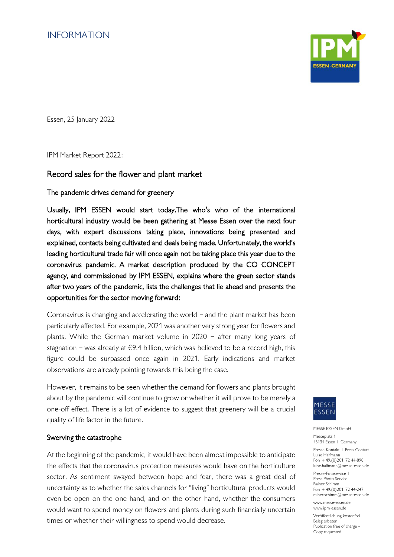

Essen, 25 January 2022

IPM Market Report 2022:

# Record sales for the flower and plant market

The pandemic drives demand for greenery

Usually, IPM ESSEN would start today.The who's who of the international horticultural industry would be been gathering at Messe Essen over the next four days, with expert discussions taking place, innovations being presented and explained, contacts being cultivated and deals being made. Unfortunately, the world's leading horticultural trade fair will once again not be taking place this year due to the coronavirus pandemic. A market description produced by the CO CONCEPT agency, and commissioned by IPM ESSEN, explains where the green sector stands after two years of the pandemic, lists the challenges that lie ahead and presents the opportunities for the sector moving forward:

Coronavirus is changing and accelerating the world – and the plant market has been particularly affected. For example, 2021 was another very strong year for flowers and plants. While the German market volume in 2020 – after many long years of stagnation – was already at  $\epsilon$ 9.4 billion, which was believed to be a record high, this figure could be surpassed once again in 2021. Early indications and market observations are already pointing towards this being the case.

However, it remains to be seen whether the demand for flowers and plants brought about by the pandemic will continue to grow or whether it will prove to be merely a one-off effect. There is a lot of evidence to suggest that greenery will be a crucial quality of life factor in the future.

#### Swerving the catastrophe

At the beginning of the pandemic, it would have been almost impossible to anticipate the effects that the coronavirus protection measures would have on the horticulture sector. As sentiment swayed between hope and fear, there was a great deal of uncertainty as to whether the sales channels for "living" horticultural products would even be open on the one hand, and on the other hand, whether the consumers would want to spend money on flowers and plants during such financially uncertain times or whether their willingness to spend would decrease.



MESSE ESSEN GmbH

Messeplatz 1 45131 Essen I Germany Presse-Kontakt I Press Contact Luise Halfmann Fon + 49.(0)201. 72 44-898 luise.halfmann@messe-essen.de

Presse-Fotoservice I Press Photo Service Rainer Schimm Fon + 49.(0)201. 72 44-247 rainer.schimm@messe-essen.de

www.messe-essen.de www.ipm-essen.de

Veröffentlichung kostenfrei – Beleg erbeten Publication free of charge – Copy requested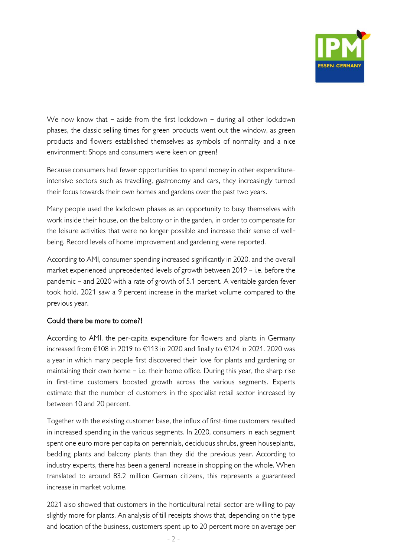

We now know that - aside from the first lockdown - during all other lockdown phases, the classic selling times for green products went out the window, as green products and flowers established themselves as symbols of normality and a nice environment: Shops and consumers were keen on green!

Because consumers had fewer opportunities to spend money in other expenditureintensive sectors such as travelling, gastronomy and cars, they increasingly turned their focus towards their own homes and gardens over the past two years.

Many people used the lockdown phases as an opportunity to busy themselves with work inside their house, on the balcony or in the garden, in order to compensate for the leisure activities that were no longer possible and increase their sense of wellbeing. Record levels of home improvement and gardening were reported.

According to AMI, consumer spending increased significantly in 2020, and the overall market experienced unprecedented levels of growth between 2019 – i.e. before the pandemic – and 2020 with a rate of growth of 5.1 percent. A veritable garden fever took hold. 2021 saw a 9 percent increase in the market volume compared to the previous year.

#### Could there be more to come?!

According to AMI, the per-capita expenditure for flowers and plants in Germany increased from €108 in 2019 to €113 in 2020 and finally to €124 in 2021. 2020 was a year in which many people first discovered their love for plants and gardening or maintaining their own home – i.e. their home office. During this year, the sharp rise in first-time customers boosted growth across the various segments. Experts estimate that the number of customers in the specialist retail sector increased by between 10 and 20 percent.

Together with the existing customer base, the influx of first-time customers resulted in increased spending in the various segments. In 2020, consumers in each segment spent one euro more per capita on perennials, deciduous shrubs, green houseplants, bedding plants and balcony plants than they did the previous year. According to industry experts, there has been a general increase in shopping on the whole. When translated to around 83.2 million German citizens, this represents a guaranteed increase in market volume.

2021 also showed that customers in the horticultural retail sector are willing to pay slightly more for plants. An analysis of till receipts shows that, depending on the type and location of the business, customers spent up to 20 percent more on average per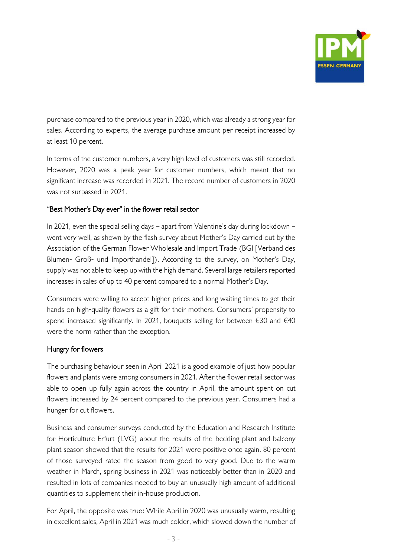

purchase compared to the previous year in 2020, which was already a strong year for sales. According to experts, the average purchase amount per receipt increased by at least 10 percent.

In terms of the customer numbers, a very high level of customers was still recorded. However, 2020 was a peak year for customer numbers, which meant that no significant increase was recorded in 2021. The record number of customers in 2020 was not surpassed in 2021.

## "Best Mother's Day ever" in the flower retail sector

In 2021, even the special selling days – apart from Valentine's day during lockdown – went very well, as shown by the flash survey about Mother's Day carried out by the Association of the German Flower Wholesale and Import Trade (BGI [Verband des Blumen- Groß- und Importhandel]). According to the survey, on Mother's Day, supply was not able to keep up with the high demand. Several large retailers reported increases in sales of up to 40 percent compared to a normal Mother's Day.

Consumers were willing to accept higher prices and long waiting times to get their hands on high-quality flowers as a gift for their mothers. Consumers' propensity to spend increased significantly. In 2021, bouquets selling for between €30 and €40 were the norm rather than the exception.

# Hungry for flowers

The purchasing behaviour seen in April 2021 is a good example of just how popular flowers and plants were among consumers in 2021. After the flower retail sector was able to open up fully again across the country in April, the amount spent on cut flowers increased by 24 percent compared to the previous year. Consumers had a hunger for cut flowers.

Business and consumer surveys conducted by the Education and Research Institute for Horticulture Erfurt (LVG) about the results of the bedding plant and balcony plant season showed that the results for 2021 were positive once again. 80 percent of those surveyed rated the season from good to very good. Due to the warm weather in March, spring business in 2021 was noticeably better than in 2020 and resulted in lots of companies needed to buy an unusually high amount of additional quantities to supplement their in-house production.

For April, the opposite was true: While April in 2020 was unusually warm, resulting in excellent sales, April in 2021 was much colder, which slowed down the number of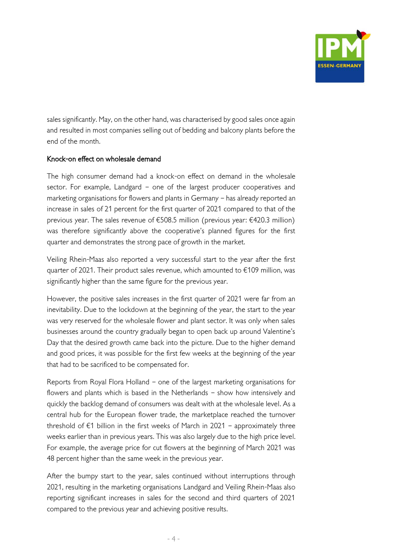

sales significantly. May, on the other hand, was characterised by good sales once again and resulted in most companies selling out of bedding and balcony plants before the end of the month.

### Knock-on effect on wholesale demand

The high consumer demand had a knock-on effect on demand in the wholesale sector. For example, Landgard – one of the largest producer cooperatives and marketing organisations for flowers and plants in Germany – has already reported an increase in sales of 21 percent for the first quarter of 2021 compared to that of the previous year. The sales revenue of €508.5 million (previous year: €420.3 million) was therefore significantly above the cooperative's planned figures for the first quarter and demonstrates the strong pace of growth in the market.

Veiling Rhein-Maas also reported a very successful start to the year after the first quarter of 2021. Their product sales revenue, which amounted to €109 million, was significantly higher than the same figure for the previous year.

However, the positive sales increases in the first quarter of 2021 were far from an inevitability. Due to the lockdown at the beginning of the year, the start to the year was very reserved for the wholesale flower and plant sector. It was only when sales businesses around the country gradually began to open back up around Valentine's Day that the desired growth came back into the picture. Due to the higher demand and good prices, it was possible for the first few weeks at the beginning of the year that had to be sacrificed to be compensated for.

Reports from Royal Flora Holland – one of the largest marketing organisations for flowers and plants which is based in the Netherlands – show how intensively and quickly the backlog demand of consumers was dealt with at the wholesale level. As a central hub for the European flower trade, the marketplace reached the turnover threshold of €1 billion in the first weeks of March in 2021 – approximately three weeks earlier than in previous years. This was also largely due to the high price level. For example, the average price for cut flowers at the beginning of March 2021 was 48 percent higher than the same week in the previous year.

After the bumpy start to the year, sales continued without interruptions through 2021, resulting in the marketing organisations Landgard and Veiling Rhein-Maas also reporting significant increases in sales for the second and third quarters of 2021 compared to the previous year and achieving positive results.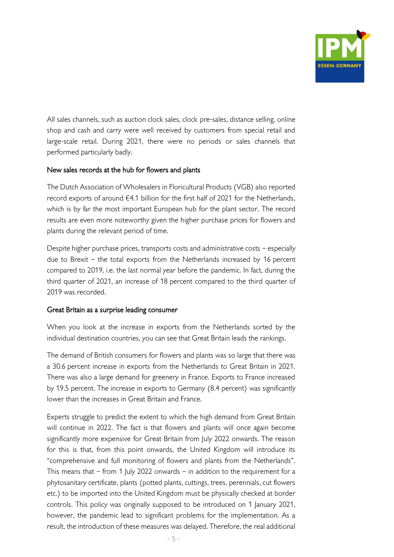

All sales channels, such as auction clock sales, clock pre-sales, distance selling, online shop and cash and carry were well received by customers from special retail and large-scale retail. During 2021, there were no periods or sales channels that performed particularly badly.

#### New sales records at the hub for flowers and plants

The Dutch Association of Wholesalers in Floricultural Products (VGB) also reported record exports of around €4.1 billion for the first half of 2021 for the Netherlands, which is by far the most important European hub for the plant sector. The record results are even more noteworthy given the higher purchase prices for flowers and plants during the relevant period of time.

Despite higher purchase prices, transports costs and administrative costs – especially due to Brexit – the total exports from the Netherlands increased by 16 percent compared to 2019, i.e. the last normal year before the pandemic. In fact, during the third quarter of 2021, an increase of 18 percent compared to the third quarter of 2019 was recorded.

## Great Britain as a surprise leading consumer

When you look at the increase in exports from the Netherlands sorted by the individual destination countries, you can see that Great Britain leads the rankings.

The demand of British consumers for flowers and plants was so large that there was a 30.6 percent increase in exports from the Netherlands to Great Britain in 2021. There was also a large demand for greenery in France. Exports to France increased by 19.5 percent. The increase in exports to Germany (8.4 percent) was significantly lower than the increases in Great Britain and France.

Experts struggle to predict the extent to which the high demand from Great Britain will continue in 2022. The fact is that flowers and plants will once again become significantly more expensive for Great Britain from July 2022 onwards. The reason for this is that, from this point onwards, the United Kingdom will introduce its "comprehensive and full monitoring of flowers and plants from the Netherlands". This means that – from 1 July 2022 onwards – in addition to the requirement for a phytosanitary certificate, plants (potted plants, cuttings, trees, perennials, cut flowers etc.) to be imported into the United Kingdom must be physically checked at border controls. This policy was originally supposed to be introduced on 1 January 2021, however, the pandemic lead to significant problems for the implementation. As a result, the introduction of these measures was delayed. Therefore, the real additional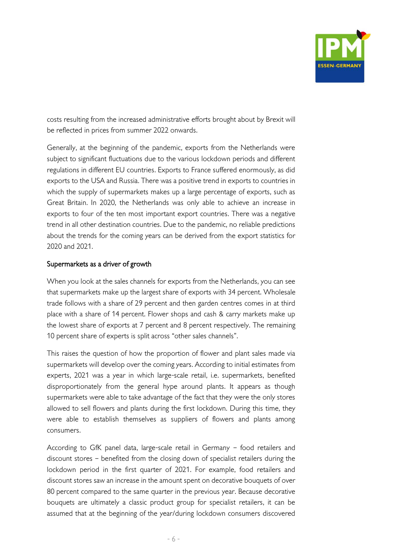

costs resulting from the increased administrative efforts brought about by Brexit will be reflected in prices from summer 2022 onwards.

Generally, at the beginning of the pandemic, exports from the Netherlands were subject to significant fluctuations due to the various lockdown periods and different regulations in different EU countries. Exports to France suffered enormously, as did exports to the USA and Russia. There was a positive trend in exports to countries in which the supply of supermarkets makes up a large percentage of exports, such as Great Britain. In 2020, the Netherlands was only able to achieve an increase in exports to four of the ten most important export countries. There was a negative trend in all other destination countries. Due to the pandemic, no reliable predictions about the trends for the coming years can be derived from the export statistics for 2020 and 2021.

### Supermarkets as a driver of growth

When you look at the sales channels for exports from the Netherlands, you can see that supermarkets make up the largest share of exports with 34 percent. Wholesale trade follows with a share of 29 percent and then garden centres comes in at third place with a share of 14 percent. Flower shops and cash & carry markets make up the lowest share of exports at 7 percent and 8 percent respectively. The remaining 10 percent share of experts is split across "other sales channels".

This raises the question of how the proportion of flower and plant sales made via supermarkets will develop over the coming years. According to initial estimates from experts, 2021 was a year in which large-scale retail, i.e. supermarkets, benefited disproportionately from the general hype around plants. It appears as though supermarkets were able to take advantage of the fact that they were the only stores allowed to sell flowers and plants during the first lockdown. During this time, they were able to establish themselves as suppliers of flowers and plants among consumers.

According to GfK panel data, large-scale retail in Germany – food retailers and discount stores – benefited from the closing down of specialist retailers during the lockdown period in the first quarter of 2021. For example, food retailers and discount stores saw an increase in the amount spent on decorative bouquets of over 80 percent compared to the same quarter in the previous year. Because decorative bouquets are ultimately a classic product group for specialist retailers, it can be assumed that at the beginning of the year/during lockdown consumers discovered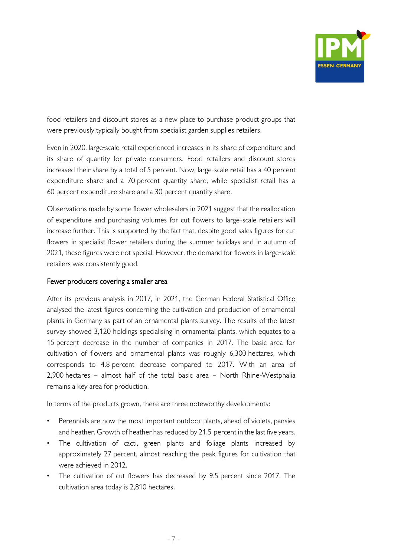

food retailers and discount stores as a new place to purchase product groups that were previously typically bought from specialist garden supplies retailers.

Even in 2020, large-scale retail experienced increases in its share of expenditure and its share of quantity for private consumers. Food retailers and discount stores increased their share by a total of 5 percent. Now, large-scale retail has a 40 percent expenditure share and a 70 percent quantity share, while specialist retail has a 60 percent expenditure share and a 30 percent quantity share.

Observations made by some flower wholesalers in 2021 suggest that the reallocation of expenditure and purchasing volumes for cut flowers to large-scale retailers will increase further. This is supported by the fact that, despite good sales figures for cut flowers in specialist flower retailers during the summer holidays and in autumn of 2021, these figures were not special. However, the demand for flowers in large-scale retailers was consistently good.

#### Fewer producers covering a smaller area

After its previous analysis in 2017, in 2021, the German Federal Statistical Office analysed the latest figures concerning the cultivation and production of ornamental plants in Germany as part of an ornamental plants survey. The results of the latest survey showed 3,120 holdings specialising in ornamental plants, which equates to a 15 percent decrease in the number of companies in 2017. The basic area for cultivation of flowers and ornamental plants was roughly 6,300 hectares, which corresponds to 4.8 percent decrease compared to 2017. With an area of 2,900 hectares – almost half of the total basic area – North Rhine-Westphalia remains a key area for production.

In terms of the products grown, there are three noteworthy developments:

- Perennials are now the most important outdoor plants, ahead of violets, pansies and heather. Growth of heather has reduced by 21.5 percent in the last five years.
- The cultivation of cacti, green plants and foliage plants increased by approximately 27 percent, almost reaching the peak figures for cultivation that were achieved in 2012.
- The cultivation of cut flowers has decreased by 9.5 percent since 2017. The cultivation area today is 2,810 hectares.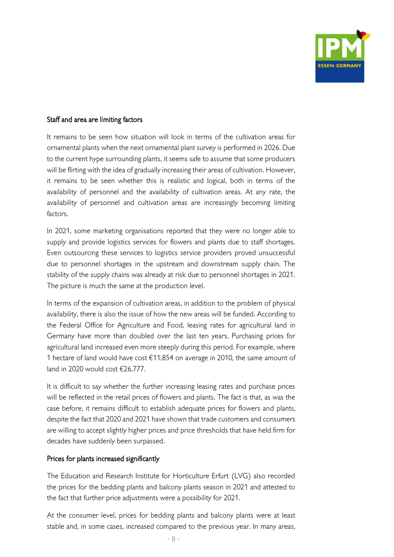

#### Staff and area are limiting factors

It remains to be seen how situation will look in terms of the cultivation areas for ornamental plants when the next ornamental plant survey is performed in 2026. Due to the current hype surrounding plants, it seems safe to assume that some producers will be flirting with the idea of gradually increasing their areas of cultivation. However, it remains to be seen whether this is realistic and logical, both in terms of the availability of personnel and the availability of cultivation areas. At any rate, the availability of personnel and cultivation areas are increasingly becoming limiting factors.

In 2021, some marketing organisations reported that they were no longer able to supply and provide logistics services for flowers and plants due to staff shortages. Even outsourcing these services to logistics service providers proved unsuccessful due to personnel shortages in the upstream and downstream supply chain. The stability of the supply chains was already at risk due to personnel shortages in 2021. The picture is much the same at the production level.

In terms of the expansion of cultivation areas, in addition to the problem of physical availability, there is also the issue of how the new areas will be funded. According to the Federal Office for Agriculture and Food, leasing rates for agricultural land in Germany have more than doubled over the last ten years. Purchasing prices for agricultural land increased even more steeply during this period. For example, where 1 hectare of land would have cost €11,854 on average in 2010, the same amount of land in 2020 would cost €26,777.

It is difficult to say whether the further increasing leasing rates and purchase prices will be reflected in the retail prices of flowers and plants. The fact is that, as was the case before, it remains difficult to establish adequate prices for flowers and plants, despite the fact that 2020 and 2021 have shown that trade customers and consumers are willing to accept slightly higher prices and price thresholds that have held firm for decades have suddenly been surpassed.

#### Prices for plants increased significantly

The Education and Research Institute for Horticulture Erfurt (LVG) also recorded the prices for the bedding plants and balcony plants season in 2021 and attested to the fact that further price adjustments were a possibility for 2021.

At the consumer level, prices for bedding plants and balcony plants were at least stable and, in some cases, increased compared to the previous year. In many areas,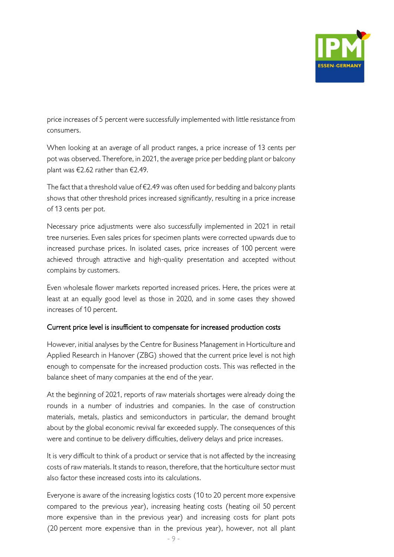

price increases of 5 percent were successfully implemented with little resistance from consumers.

When looking at an average of all product ranges, a price increase of 13 cents per pot was observed. Therefore, in 2021, the average price per bedding plant or balcony plant was €2.62 rather than €2.49.

The fact that a threshold value of  $\epsilon$ 2.49 was often used for bedding and balcony plants shows that other threshold prices increased significantly, resulting in a price increase of 13 cents per pot.

Necessary price adjustments were also successfully implemented in 2021 in retail tree nurseries. Even sales prices for specimen plants were corrected upwards due to increased purchase prices. In isolated cases, price increases of 100 percent were achieved through attractive and high-quality presentation and accepted without complains by customers.

Even wholesale flower markets reported increased prices. Here, the prices were at least at an equally good level as those in 2020, and in some cases they showed increases of 10 percent.

## Current price level is insufficient to compensate for increased production costs

However, initial analyses by the Centre for Business Management in Horticulture and Applied Research in Hanover (ZBG) showed that the current price level is not high enough to compensate for the increased production costs. This was reflected in the balance sheet of many companies at the end of the year.

At the beginning of 2021, reports of raw materials shortages were already doing the rounds in a number of industries and companies. In the case of construction materials, metals, plastics and semiconductors in particular, the demand brought about by the global economic revival far exceeded supply. The consequences of this were and continue to be delivery difficulties, delivery delays and price increases.

It is very difficult to think of a product or service that is not affected by the increasing costs of raw materials. It stands to reason, therefore, that the horticulture sector must also factor these increased costs into its calculations.

Everyone is aware of the increasing logistics costs (10 to 20 percent more expensive compared to the previous year), increasing heating costs (heating oil 50 percent more expensive than in the previous year) and increasing costs for plant pots (20 percent more expensive than in the previous year), however, not all plant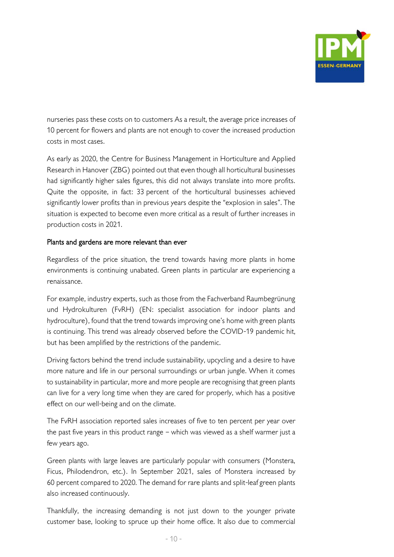

nurseries pass these costs on to customers As a result, the average price increases of 10 percent for flowers and plants are not enough to cover the increased production costs in most cases.

As early as 2020, the Centre for Business Management in Horticulture and Applied Research in Hanover (ZBG) pointed out that even though all horticultural businesses had significantly higher sales figures, this did not always translate into more profits. Quite the opposite, in fact: 33 percent of the horticultural businesses achieved significantly lower profits than in previous years despite the "explosion in sales". The situation is expected to become even more critical as a result of further increases in production costs in 2021.

### Plants and gardens are more relevant than ever

Regardless of the price situation, the trend towards having more plants in home environments is continuing unabated. Green plants in particular are experiencing a renaissance.

For example, industry experts, such as those from the Fachverband Raumbegrünung und Hydrokulturen (FvRH) (EN: specialist association for indoor plants and hydroculture), found that the trend towards improving one's home with green plants is continuing. This trend was already observed before the COVID-19 pandemic hit, but has been amplified by the restrictions of the pandemic.

Driving factors behind the trend include sustainability, upcycling and a desire to have more nature and life in our personal surroundings or urban jungle. When it comes to sustainability in particular, more and more people are recognising that green plants can live for a very long time when they are cared for properly, which has a positive effect on our well-being and on the climate.

The FvRH association reported sales increases of five to ten percent per year over the past five years in this product range – which was viewed as a shelf warmer just a few years ago.

Green plants with large leaves are particularly popular with consumers (Monstera, Ficus, Philodendron, etc.). In September 2021, sales of Monstera increased by 60 percent compared to 2020. The demand for rare plants and split-leaf green plants also increased continuously.

Thankfully, the increasing demanding is not just down to the younger private customer base, looking to spruce up their home office. It also due to commercial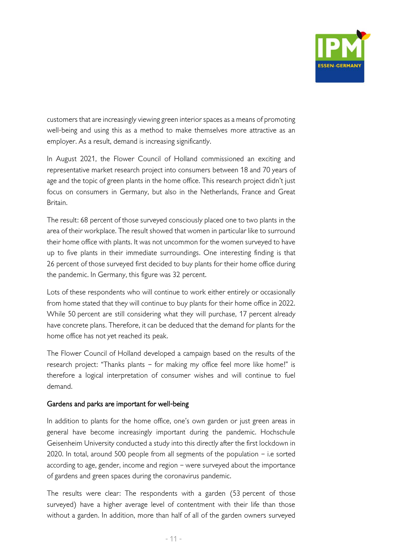

customers that are increasingly viewing green interior spaces as a means of promoting well-being and using this as a method to make themselves more attractive as an employer. As a result, demand is increasing significantly.

In August 2021, the Flower Council of Holland commissioned an exciting and representative market research project into consumers between 18 and 70 years of age and the topic of green plants in the home office. This research project didn't just focus on consumers in Germany, but also in the Netherlands, France and Great Britain.

The result: 68 percent of those surveyed consciously placed one to two plants in the area of their workplace. The result showed that women in particular like to surround their home office with plants. It was not uncommon for the women surveyed to have up to five plants in their immediate surroundings. One interesting finding is that 26 percent of those surveyed first decided to buy plants for their home office during the pandemic. In Germany, this figure was 32 percent.

Lots of these respondents who will continue to work either entirely or occasionally from home stated that they will continue to buy plants for their home office in 2022. While 50 percent are still considering what they will purchase, 17 percent already have concrete plans. Therefore, it can be deduced that the demand for plants for the home office has not yet reached its peak.

The Flower Council of Holland developed a campaign based on the results of the research project: "Thanks plants – for making my office feel more like home!" is therefore a logical interpretation of consumer wishes and will continue to fuel demand.

#### Gardens and parks are important for well-being

In addition to plants for the home office, one's own garden or just green areas in general have become increasingly important during the pandemic. Hochschule Geisenheim University conducted a study into this directly after the first lockdown in 2020. In total, around 500 people from all segments of the population – i.e sorted according to age, gender, income and region – were surveyed about the importance of gardens and green spaces during the coronavirus pandemic.

The results were clear: The respondents with a garden (53 percent of those surveyed) have a higher average level of contentment with their life than those without a garden. In addition, more than half of all of the garden owners surveyed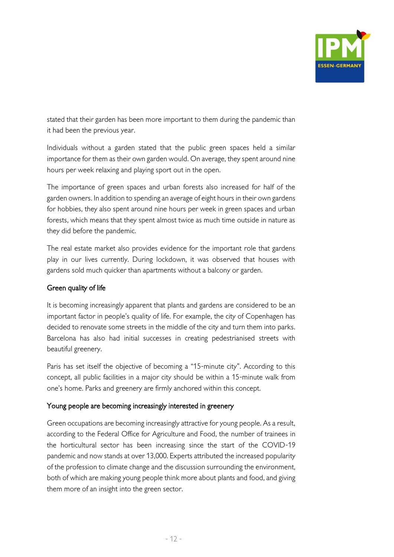

stated that their garden has been more important to them during the pandemic than it had been the previous year.

Individuals without a garden stated that the public green spaces held a similar importance for them as their own garden would. On average, they spent around nine hours per week relaxing and playing sport out in the open.

The importance of green spaces and urban forests also increased for half of the garden owners. In addition to spending an average of eight hours in their own gardens for hobbies, they also spent around nine hours per week in green spaces and urban forests, which means that they spent almost twice as much time outside in nature as they did before the pandemic.

The real estate market also provides evidence for the important role that gardens play in our lives currently. During lockdown, it was observed that houses with gardens sold much quicker than apartments without a balcony or garden.

## Green quality of life

It is becoming increasingly apparent that plants and gardens are considered to be an important factor in people's quality of life. For example, the city of Copenhagen has decided to renovate some streets in the middle of the city and turn them into parks. Barcelona has also had initial successes in creating pedestrianised streets with beautiful greenery.

Paris has set itself the objective of becoming a "15-minute city". According to this concept, all public facilities in a major city should be within a 15-minute walk from one's home. Parks and greenery are firmly anchored within this concept.

## Young people are becoming increasingly interested in greenery

Green occupations are becoming increasingly attractive for young people. As a result, according to the Federal Office for Agriculture and Food, the number of trainees in the horticultural sector has been increasing since the start of the COVID-19 pandemic and now stands at over 13,000. Experts attributed the increased popularity of the profession to climate change and the discussion surrounding the environment, both of which are making young people think more about plants and food, and giving them more of an insight into the green sector.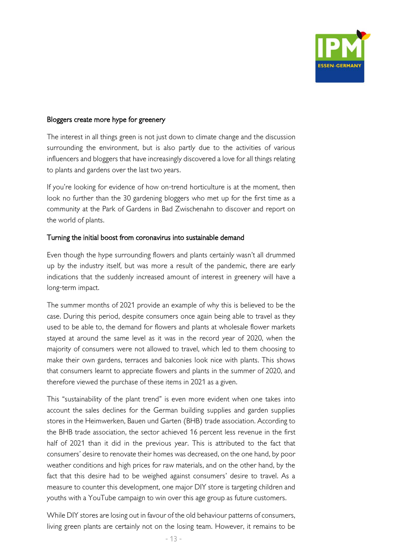

#### Bloggers create more hype for greenery

The interest in all things green is not just down to climate change and the discussion surrounding the environment, but is also partly due to the activities of various influencers and bloggers that have increasingly discovered a love for all things relating to plants and gardens over the last two years.

If you're looking for evidence of how on-trend horticulture is at the moment, then look no further than the 30 gardening bloggers who met up for the first time as a community at the Park of Gardens in Bad Zwischenahn to discover and report on the world of plants.

#### Turning the initial boost from coronavirus into sustainable demand

Even though the hype surrounding flowers and plants certainly wasn't all drummed up by the industry itself, but was more a result of the pandemic, there are early indications that the suddenly increased amount of interest in greenery will have a long-term impact.

The summer months of 2021 provide an example of why this is believed to be the case. During this period, despite consumers once again being able to travel as they used to be able to, the demand for flowers and plants at wholesale flower markets stayed at around the same level as it was in the record year of 2020, when the majority of consumers were not allowed to travel, which led to them choosing to make their own gardens, terraces and balconies look nice with plants. This shows that consumers learnt to appreciate flowers and plants in the summer of 2020, and therefore viewed the purchase of these items in 2021 as a given.

This "sustainability of the plant trend" is even more evident when one takes into account the sales declines for the German building supplies and garden supplies stores in the Heimwerken, Bauen und Garten (BHB) trade association. According to the BHB trade association, the sector achieved 16 percent less revenue in the first half of 2021 than it did in the previous year. This is attributed to the fact that consumers' desire to renovate their homes was decreased, on the one hand, by poor weather conditions and high prices for raw materials, and on the other hand, by the fact that this desire had to be weighed against consumers' desire to travel. As a measure to counter this development, one major DIY store is targeting children and youths with a YouTube campaign to win over this age group as future customers.

While DIY stores are losing out in favour of the old behaviour patterns of consumers, living green plants are certainly not on the losing team. However, it remains to be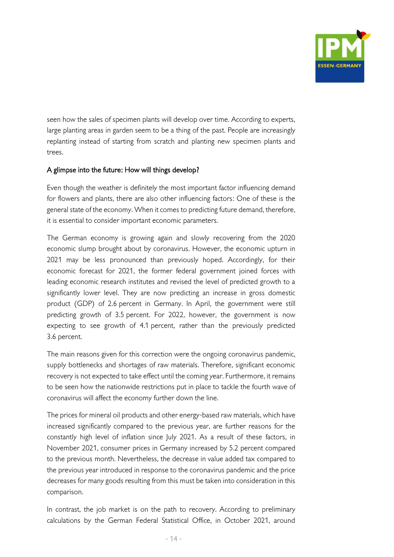

seen how the sales of specimen plants will develop over time. According to experts, large planting areas in garden seem to be a thing of the past. People are increasingly replanting instead of starting from scratch and planting new specimen plants and trees.

# A glimpse into the future: How will things develop?

Even though the weather is definitely the most important factor influencing demand for flowers and plants, there are also other influencing factors: One of these is the general state of the economy. When it comes to predicting future demand, therefore, it is essential to consider important economic parameters.

The German economy is growing again and slowly recovering from the 2020 economic slump brought about by coronavirus. However, the economic upturn in 2021 may be less pronounced than previously hoped. Accordingly, for their economic forecast for 2021, the former federal government joined forces with leading economic research institutes and revised the level of predicted growth to a significantly lower level. They are now predicting an increase in gross domestic product (GDP) of 2.6 percent in Germany. In April, the government were still predicting growth of 3.5 percent. For 2022, however, the government is now expecting to see growth of 4.1 percent, rather than the previously predicted 3.6 percent.

The main reasons given for this correction were the ongoing coronavirus pandemic, supply bottlenecks and shortages of raw materials. Therefore, significant economic recovery is not expected to take effect until the coming year. Furthermore, it remains to be seen how the nationwide restrictions put in place to tackle the fourth wave of coronavirus will affect the economy further down the line.

The prices for mineral oil products and other energy-based raw materials, which have increased significantly compared to the previous year, are further reasons for the constantly high level of inflation since July 2021. As a result of these factors, in November 2021, consumer prices in Germany increased by 5.2 percent compared to the previous month. Nevertheless, the decrease in value added tax compared to the previous year introduced in response to the coronavirus pandemic and the price decreases for many goods resulting from this must be taken into consideration in this comparison.

In contrast, the job market is on the path to recovery. According to preliminary calculations by the German Federal Statistical Office, in October 2021, around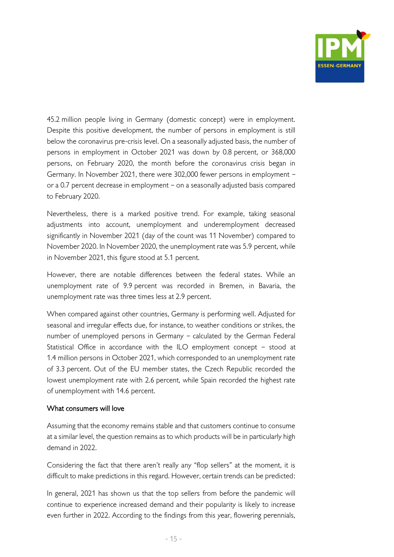

45.2 million people living in Germany (domestic concept) were in employment. Despite this positive development, the number of persons in employment is still below the coronavirus pre-crisis level. On a seasonally adjusted basis, the number of persons in employment in October 2021 was down by 0.8 percent, or 368,000 persons, on February 2020, the month before the coronavirus crisis began in Germany. In November 2021, there were 302,000 fewer persons in employment – or a 0.7 percent decrease in employment – on a seasonally adjusted basis compared to February 2020.

Nevertheless, there is a marked positive trend. For example, taking seasonal adjustments into account, unemployment and underemployment decreased significantly in November 2021 (day of the count was 11 November) compared to November 2020. In November 2020, the unemployment rate was 5.9 percent, while in November 2021, this figure stood at 5.1 percent.

However, there are notable differences between the federal states. While an unemployment rate of 9.9 percent was recorded in Bremen, in Bavaria, the unemployment rate was three times less at 2.9 percent.

When compared against other countries, Germany is performing well. Adjusted for seasonal and irregular effects due, for instance, to weather conditions or strikes, the number of unemployed persons in Germany – calculated by the German Federal Statistical Office in accordance with the ILO employment concept – stood at 1.4 million persons in October 2021, which corresponded to an unemployment rate of 3.3 percent. Out of the EU member states, the Czech Republic recorded the lowest unemployment rate with 2.6 percent, while Spain recorded the highest rate of unemployment with 14.6 percent.

#### What consumers will love

Assuming that the economy remains stable and that customers continue to consume at a similar level, the question remains as to which products will be in particularly high demand in 2022.

Considering the fact that there aren't really any "flop sellers" at the moment, it is difficult to make predictions in this regard. However, certain trends can be predicted:

In general, 2021 has shown us that the top sellers from before the pandemic will continue to experience increased demand and their popularity is likely to increase even further in 2022. According to the findings from this year, flowering perennials,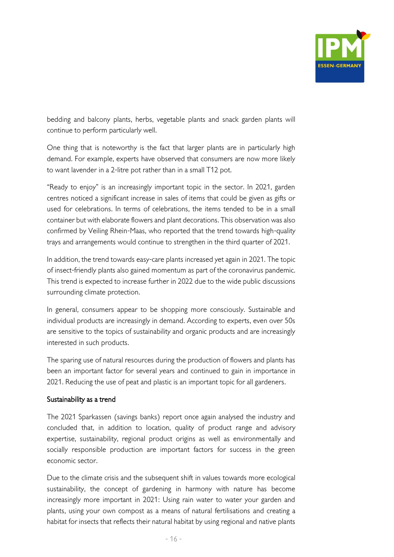

bedding and balcony plants, herbs, vegetable plants and snack garden plants will continue to perform particularly well.

One thing that is noteworthy is the fact that larger plants are in particularly high demand. For example, experts have observed that consumers are now more likely to want lavender in a 2-litre pot rather than in a small T12 pot.

"Ready to enjoy" is an increasingly important topic in the sector. In 2021, garden centres noticed a significant increase in sales of items that could be given as gifts or used for celebrations. In terms of celebrations, the items tended to be in a small container but with elaborate flowers and plant decorations. This observation was also confirmed by Veiling Rhein-Maas, who reported that the trend towards high-quality trays and arrangements would continue to strengthen in the third quarter of 2021.

In addition, the trend towards easy-care plants increased yet again in 2021. The topic of insect-friendly plants also gained momentum as part of the coronavirus pandemic. This trend is expected to increase further in 2022 due to the wide public discussions surrounding climate protection.

In general, consumers appear to be shopping more consciously. Sustainable and individual products are increasingly in demand. According to experts, even over 50s are sensitive to the topics of sustainability and organic products and are increasingly interested in such products.

The sparing use of natural resources during the production of flowers and plants has been an important factor for several years and continued to gain in importance in 2021. Reducing the use of peat and plastic is an important topic for all gardeners.

#### Sustainability as a trend

The 2021 Sparkassen (savings banks) report once again analysed the industry and concluded that, in addition to location, quality of product range and advisory expertise, sustainability, regional product origins as well as environmentally and socially responsible production are important factors for success in the green economic sector.

Due to the climate crisis and the subsequent shift in values towards more ecological sustainability, the concept of gardening in harmony with nature has become increasingly more important in 2021: Using rain water to water your garden and plants, using your own compost as a means of natural fertilisations and creating a habitat for insects that reflects their natural habitat by using regional and native plants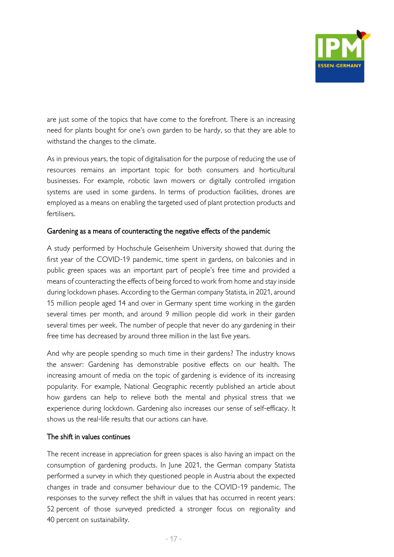

are just some of the topics that have come to the forefront. There is an increasing need for plants bought for one's own garden to be hardy, so that they are able to withstand the changes to the climate.

As in previous years, the topic of digitalisation for the purpose of reducing the use of resources remains an important topic for both consumers and horticultural businesses. For example, robotic lawn mowers or digitally controlled irrigation systems are used in some gardens. In terms of production facilities, drones are employed as a means on enabling the targeted used of plant protection products and fertilisers.

#### Gardening as a means of counteracting the negative effects of the pandemic

A study performed by Hochschule Geisenheim University showed that during the first year of the COVID-19 pandemic, time spent in gardens, on balconies and in public green spaces was an important part of people's free time and provided a means of counteracting the effects of being forced to work from home and stay inside during lockdown phases. According to the German company Statista, in 2021, around 15 million people aged 14 and over in Germany spent time working in the garden several times per month, and around 9 million people did work in their garden several times per week. The number of people that never do any gardening in their free time has decreased by around three million in the last five years.

And why are people spending so much time in their gardens? The industry knows the answer: Gardening has demonstrable positive effects on our health. The increasing amount of media on the topic of gardening is evidence of its increasing popularity. For example, National Geographic recently published an article about how gardens can help to relieve both the mental and physical stress that we experience during lockdown. Gardening also increases our sense of self-efficacy. It shows us the real-life results that our actions can have.

## The shift in values continues

The recent increase in appreciation for green spaces is also having an impact on the consumption of gardening products. In June 2021, the German company Statista performed a survey in which they questioned people in Austria about the expected changes in trade and consumer behaviour due to the COVID-19 pandemic. The responses to the survey reflect the shift in values that has occurred in recent years: 52 percent of those surveyed predicted a stronger focus on regionality and 40 percent on sustainability.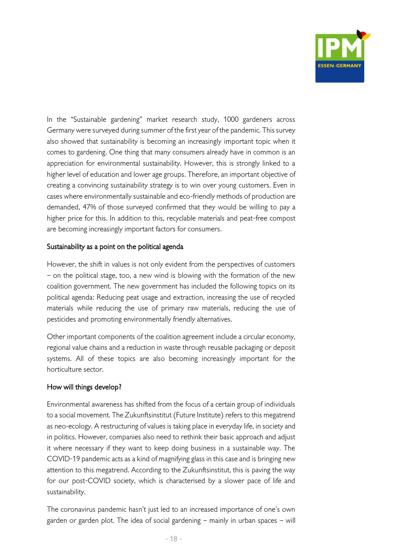

In the "Sustainable gardening" market research study, 1000 gardeners across Germany were surveyed during summer of the first year of the pandemic. This survey also showed that sustainability is becoming an increasingly important topic when it comes to gardening. One thing that many consumers already have in common is an appreciation for environmental sustainability. However, this is strongly linked to a higher level of education and lower age groups. Therefore, an important objective of creating a convincing sustainability strategy is to win over young customers. Even in cases where environmentally sustainable and eco-friendly methods of production are demanded, 47% of those surveyed confirmed that they would be willing to pay a higher price for this. In addition to this, recyclable materials and peat-free compost are becoming increasingly important factors for consumers.

### Sustainability as a point on the political agenda

However, the shift in values is not only evident from the perspectives of customers – on the political stage, too, a new wind is blowing with the formation of the new coalition government. The new government has included the following topics on its political agenda: Reducing peat usage and extraction, increasing the use of recycled materials while reducing the use of primary raw materials, reducing the use of pesticides and promoting environmentally friendly alternatives.

Other important components of the coalition agreement include a circular economy, regional value chains and a reduction in waste through reusable packaging or deposit systems. All of these topics are also becoming increasingly important for the horticulture sector.

## How will things develop?

Environmental awareness has shifted from the focus of a certain group of individuals to a social movement. The Zukunftsinstitut (Future Institute) refers to this megatrend as neo-ecology. A restructuring of values is taking place in everyday life, in society and in politics. However, companies also need to rethink their basic approach and adjust it where necessary if they want to keep doing business in a sustainable way. The COVID-19 pandemic acts as a kind of magnifying glass in this case and is bringing new attention to this megatrend. According to the Zukunftsinstitut, this is paving the way for our post-COVID society, which is characterised by a slower pace of life and sustainability.

The coronavirus pandemic hasn't just led to an increased importance of one's own garden or garden plot. The idea of social gardening – mainly in urban spaces – will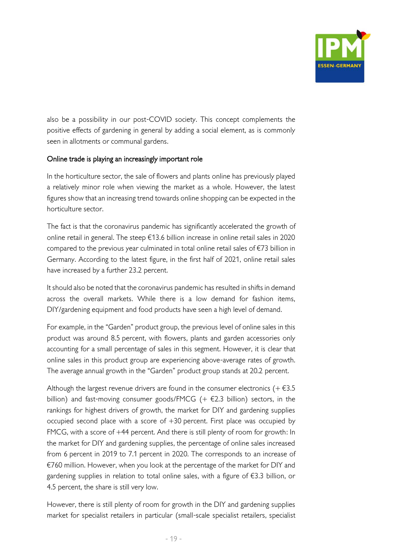

also be a possibility in our post-COVID society. This concept complements the positive effects of gardening in general by adding a social element, as is commonly seen in allotments or communal gardens.

## Online trade is playing an increasingly important role

In the horticulture sector, the sale of flowers and plants online has previously played a relatively minor role when viewing the market as a whole. However, the latest figures show that an increasing trend towards online shopping can be expected in the horticulture sector.

The fact is that the coronavirus pandemic has significantly accelerated the growth of online retail in general. The steep €13.6 billion increase in online retail sales in 2020 compared to the previous year culminated in total online retail sales of €73 billion in Germany. According to the latest figure, in the first half of 2021, online retail sales have increased by a further 23.2 percent.

It should also be noted that the coronavirus pandemic has resulted in shifts in demand across the overall markets. While there is a low demand for fashion items, DIY/gardening equipment and food products have seen a high level of demand.

For example, in the "Garden" product group, the previous level of online sales in this product was around 8.5 percent, with flowers, plants and garden accessories only accounting for a small percentage of sales in this segment. However, it is clear that online sales in this product group are experiencing above-average rates of growth. The average annual growth in the "Garden" product group stands at 20.2 percent.

Although the largest revenue drivers are found in the consumer electronics  $(+\epsilon 3.5)$ billion) and fast-moving consumer goods/FMCG  $(+ 62.3)$  billion) sectors, in the rankings for highest drivers of growth, the market for DIY and gardening supplies occupied second place with a score of +30 percent. First place was occupied by FMCG, with a score of +44 percent. And there is still plenty of room for growth: In the market for DIY and gardening supplies, the percentage of online sales increased from 6 percent in 2019 to 7.1 percent in 2020. The corresponds to an increase of €760 million. However, when you look at the percentage of the market for DIY and gardening supplies in relation to total online sales, with a figure of €3.3 billion, or 4.5 percent, the share is still very low.

However, there is still plenty of room for growth in the DIY and gardening supplies market for specialist retailers in particular (small-scale specialist retailers, specialist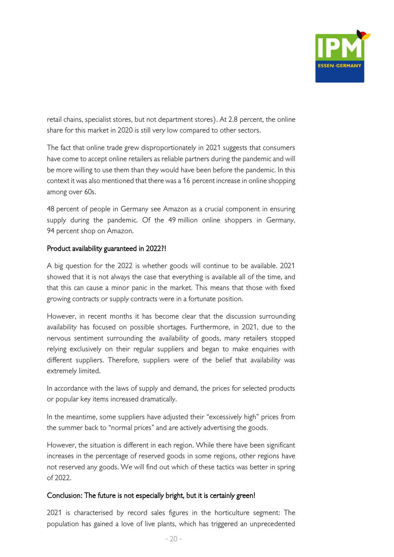

retail chains, specialist stores, but not department stores). At 2.8 percent, the online share for this market in 2020 is still very low compared to other sectors.

The fact that online trade grew disproportionately in 2021 suggests that consumers have come to accept online retailers as reliable partners during the pandemic and will be more willing to use them than they would have been before the pandemic. In this context it was also mentioned that there was a 16 percent increase in online shopping among over 60s.

48 percent of people in Germany see Amazon as a crucial component in ensuring supply during the pandemic. Of the 49 million online shoppers in Germany, 94 percent shop on Amazon.

## Product availability guaranteed in 2022?!

A big question for the 2022 is whether goods will continue to be available. 2021 showed that it is not always the case that everything is available all of the time, and that this can cause a minor panic in the market. This means that those with fixed growing contracts or supply contracts were in a fortunate position.

However, in recent months it has become clear that the discussion surrounding availability has focused on possible shortages. Furthermore, in 2021, due to the nervous sentiment surrounding the availability of goods, many retailers stopped relying exclusively on their regular suppliers and began to make enquiries with different suppliers. Therefore, suppliers were of the belief that availability was extremely limited.

In accordance with the laws of supply and demand, the prices for selected products or popular key items increased dramatically.

In the meantime, some suppliers have adjusted their "excessively high" prices from the summer back to "normal prices" and are actively advertising the goods.

However, the situation is different in each region. While there have been significant increases in the percentage of reserved goods in some regions, other regions have not reserved any goods. We will find out which of these tactics was better in spring of 2022.

#### Conclusion: The future is not especially bright, but it is certainly green!

2021 is characterised by record sales figures in the horticulture segment: The population has gained a love of live plants, which has triggered an unprecedented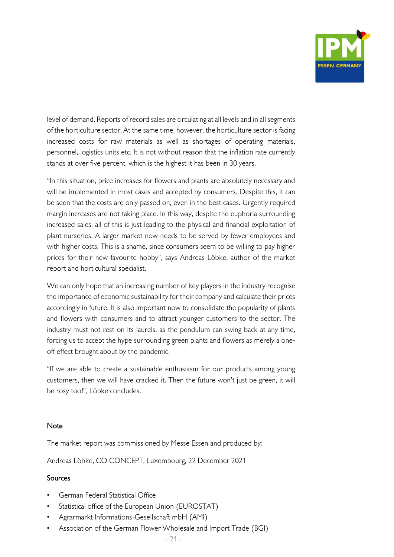

level of demand. Reports of record sales are circulating at all levels and in all segments of the horticulture sector. At the same time, however, the horticulture sector is facing increased costs for raw materials as well as shortages of operating materials, personnel, logistics units etc. It is not without reason that the inflation rate currently stands at over five percent, which is the highest it has been in 30 years.

"In this situation, price increases for flowers and plants are absolutely necessary and will be implemented in most cases and accepted by consumers. Despite this, it can be seen that the costs are only passed on, even in the best cases. Urgently required margin increases are not taking place. In this way, despite the euphoria surrounding increased sales, all of this is just leading to the physical and financial exploitation of plant nurseries. A larger market now needs to be served by fewer employees and with higher costs. This is a shame, since consumers seem to be willing to pay higher prices for their new favourite hobby", says Andreas Löbke, author of the market report and horticultural specialist.

We can only hope that an increasing number of key players in the industry recognise the importance of economic sustainability for their company and calculate their prices accordingly in future. It is also important now to consolidate the popularity of plants and flowers with consumers and to attract younger customers to the sector. The industry must not rest on its laurels, as the pendulum can swing back at any time, forcing us to accept the hype surrounding green plants and flowers as merely a oneoff effect brought about by the pandemic.

"If we are able to create a sustainable enthusiasm for our products among young customers, then we will have cracked it. Then the future won't just be green, it will be rosy too!", Löbke concludes.

#### **Note**

The market report was commissioned by Messe Essen and produced by:

Andreas Löbke, CO CONCEPT, Luxembourg, 22 December 2021

#### Sources

- German Federal Statistical Office
- Statistical office of the European Union (EUROSTAT)
- Agrarmarkt Informations-Gesellschaft mbH (AMI)
- Association of the German Flower Wholesale and Import Trade (BGI)